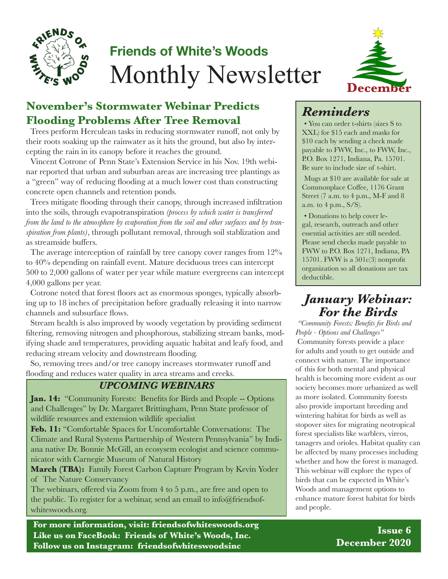

# **Friends of White's Woods** Monthly Newsletter



#### **November's Stormwater Webinar Predicts Flooding Problems After Tree Removal**

Trees perform Herculean tasks in reducing stormwater runoff, not only by their roots soaking up the rainwater as it hits the ground, but also by intercepting the rain in its canopy before it reaches the ground.

Vincent Cotrone of Penn State's Extension Service in his Nov. 19th webinar reported that urban and suburban areas are increasing tree plantings as a "green" way of reducing flooding at a much lower cost than constructing concrete open channels and retention ponds.

Trees mitigate flooding through their canopy, through increased infiltration into the soils, through evapotranspiration *(process by which water is transferred from the land to the atmosphere by evaporation from the soil and other surfaces and by transpiration from plants)*, through pollutant removal, through soil stablization and as streamside buffers.

The average interception of rainfall by tree canopy cover ranges from 12% to 40% depending on rainfall event. Mature deciduous trees can intercept 500 to 2,000 gallons of water per year while mature evergreens can intercept 4,000 gallons per year.

Cotrone noted that forest floors act as enormous sponges, typically absorbing up to 18 inches of precipitation before gradually releasing it into narrow channels and subsurface flows.

Stream health is also improved by woody vegetation by providing sediment filtering, removing nitrogen and phosphorous, stabilizing stream banks, modifying shade and temperatures, providing aquatic habitat and leafy food, and reducing stream velocity and downstream flooding.

So, removing trees and/or tree canopy increases stormwater runoff and flooding and reduces water quality in area streams and creeks.

#### *UPCOMING WEBINARS*

**Jan. 14:** "Community Forests: Benefits for Birds and People -- Options and Challenges" by Dr. Margaret Brittingham, Penn State professor of wildlife resources and extension wildlife specialist

**Feb. 11:** "Comfortable Spaces for Uncomfortable Conversations: The Climate and Rural Systems Partnership of Western Pennsylvania" by Indiana native Dr. Bonnie McGill, an ecosysem ecologist and science communicator with Carnegie Museum of Natural History

**March (TBA):** Family Forest Carbon Capture Program by Kevin Yoder of The Nature Conservancy

The webinars, offered via Zoom from 4 to 5 p.m., are free and open to the public. To register for a webinar, send an email to info@friendsofwhiteswoods.org.

**For more information, visit: friendsofwhiteswoods.org Like us on FaceBook: Friends of White's Woods, Inc. Follow us on Instagram: friendsofwhiteswoodsinc**

# *Reminders*

• You can order t-shirts (sizes S to XXL) for \$15 each and masks for \$10 each by sending a check made payable to FWW, Inc., to FWW, Inc., P.O. Box 1271, Indiana, Pa. 15701. Be sure to include size of t-shirt.

Mugs at \$10 are available for sale at Commonplace Coffee, 1176 Grant Street (7 a.m. to 4 p.m., M-F and 8 a.m. to 4 p.m., S/S).

• Donations to help cover legal, research, outreach and other essential activities are still needed. Please send checks made payable to FWW to P.O. Box 1271, Indiana, PA 15701. FWW is a  $501c(3)$  nonprofit organization so all donations are tax deductible.

### *January Webinar: For the Birds*

*"Community Forests: Benefits for Birds and People - Options and Challenges"* Community forests provide a place for adults and youth to get outside and connect with nature. The importance of this for both mental and physical health is becoming more evident as our society becomes more urbanized as well as more isolated. Community forests also provide important breeding and wintering habitat for birds as well as stopover sites for migrating neotropical forest specialists like warblers, vireos, tanagers and orioles. Habitat quality can be affected by many processes including whether and how the forest is managed. This webinar will explore the types of birds that can be expected in White's Woods and management options to enhance mature forest habitat for birds and people.

> **Issue 6 December 2020**